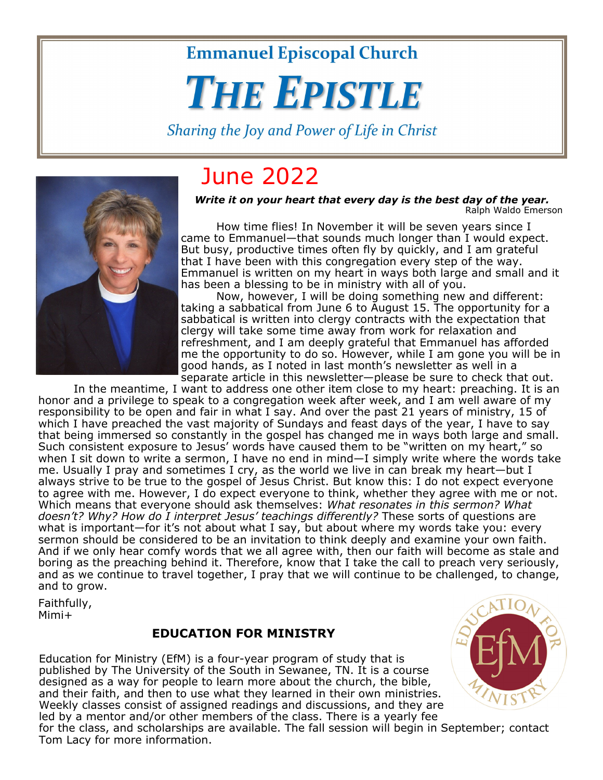**Emmanuel Episcopal Church** 

# **THE EPISTLE**

Sharing the Joy and Power of Life in Christ

## June 2022

*Write it on your heart that every day is the best day of the year.*  Ralph Waldo Emerson

 How time flies! In November it will be seven years since I came to Emmanuel—that sounds much longer than I would expect. But busy, productive times often fly by quickly, and I am grateful that I have been with this congregation every step of the way. Emmanuel is written on my heart in ways both large and small and it has been a blessing to be in ministry with all of you.

 Now, however, I will be doing something new and different: taking a sabbatical from June 6 to August 15. The opportunity for a sabbatical is written into clergy contracts with the expectation that clergy will take some time away from work for relaxation and refreshment, and I am deeply grateful that Emmanuel has afforded me the opportunity to do so. However, while I am gone you will be in good hands, as I noted in last month's newsletter as well in a separate article in this newsletter—please be sure to check that out.

 In the meantime, I want to address one other item close to my heart: preaching. It is an honor and a privilege to speak to a congregation week after week, and I am well aware of my responsibility to be open and fair in what I say. And over the past 21 years of ministry, 15 of which I have preached the vast majority of Sundays and feast days of the year, I have to say that being immersed so constantly in the gospel has changed me in ways both large and small. Such consistent exposure to Jesus' words have caused them to be "written on my heart," so when I sit down to write a sermon, I have no end in mind—I simply write where the words take me. Usually I pray and sometimes I cry, as the world we live in can break my heart—but I always strive to be true to the gospel of Jesus Christ. But know this: I do not expect everyone to agree with me. However, I do expect everyone to think, whether they agree with me or not. Which means that everyone should ask themselves: *What resonates in this sermon? What*  doesn't? Why? How do *I interpret Jesus' teachings differently?* These sorts of questions are what is important—for it's not about what I say, but about where my words take you: every sermon should be considered to be an invitation to think deeply and examine your own faith. And if we only hear comfy words that we all agree with, then our faith will become as stale and boring as the preaching behind it. Therefore, know that I take the call to preach very seriously, and as we continue to travel together, I pray that we will continue to be challenged, to change, and to grow.

Faithfully, Mimi+

Tom Lacy for more information.

#### **EDUCATION FOR MINISTRY**

Education for Ministry (EfM) is a four-year program of study that is published by The University of the South in Sewanee, TN. It is a course designed as a way for people to learn more about the church, the bible, and their faith, and then to use what they learned in their own ministries. Weekly classes consist of assigned readings and discussions, and they are led by a mentor and/or other members of the class. There is a yearly fee for the class, and scholarships are available. The fall session will begin in September; contact



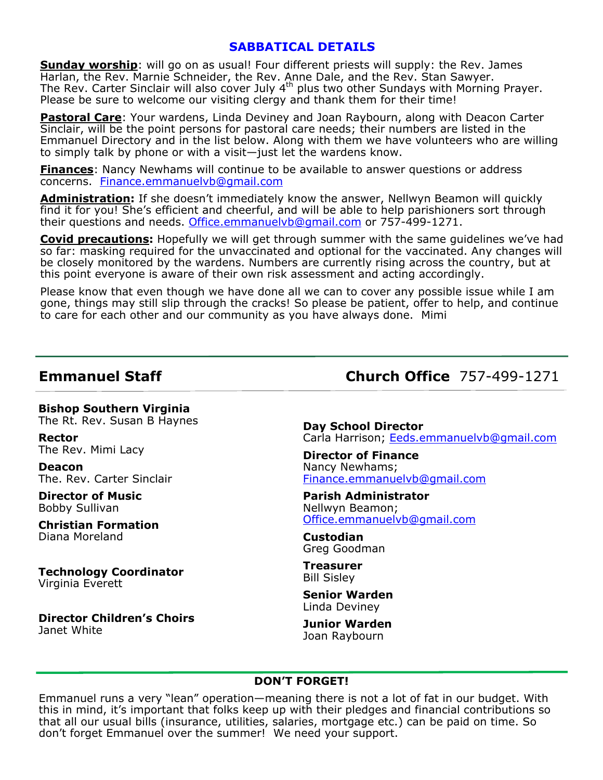#### **SABBATICAL DETAILS**

**Sunday worship**: will go on as usual! Four different priests will supply: the Rev. James Harlan, the Rev. Marnie Schneider, the Rev. Anne Dale, and the Rev. Stan Sawyer. The Rev. Carter Sinclair will also cover July 4<sup>th</sup> plus two other Sundays with Morning Prayer. Please be sure to welcome our visiting clergy and thank them for their time!

**Pastoral Care**: Your wardens, Linda Deviney and Joan Raybourn, along with Deacon Carter Sinclair, will be the point persons for pastoral care needs; their numbers are listed in the Emmanuel Directory and in the list below. Along with them we have volunteers who are willing to simply talk by phone or with a visit—just let the wardens know.

**Finances**: Nancy Newhams will continue to be available to answer questions or address concerns. Finance.emmanuelvb@gmail.com

**Administration:** If she doesn't immediately know the answer, Nellwyn Beamon will quickly find it for you! She's efficient and cheerful, and will be able to help parishioners sort through their questions and needs. Office.emmanuelvb@gmail.com or 757-499-1271.

**Covid precautions:** Hopefully we will get through summer with the same guidelines we've had so far: masking required for the unvaccinated and optional for the vaccinated. Any changes will be closely monitored by the wardens. Numbers are currently rising across the country, but at this point everyone is aware of their own risk assessment and acting accordingly.

Please know that even though we have done all we can to cover any possible issue while I am gone, things may still slip through the cracks! So please be patient, offer to help, and continue to care for each other and our community as you have always done. Mimi

**Bishop Southern Virginia**  The Rt. Rev. Susan B Haynes

**Rector**  The Rev. Mimi Lacy

**Deacon**  The. Rev. Carter Sinclair

**Director of Music**  Bobby Sullivan

**Christian Formation**  Diana Moreland

**Technology Coordinator**  Virginia Everett

**Director Children's Choirs**  Janet White

**Emmanuel Staff Church Office** 757-499-1271

**Day School Director**  Carla Harrison; Eeds.emmanuelvb@gmail.com

**Director of Finance**  Nancy Newhams; Finance.emmanuelvb@gmail.com

**Parish Administrator**  Nellwyn Beamon; Office.emmanuelvb@gmail.com

**Custodian**  Greg Goodman

**Treasurer**  Bill Sisley

**Senior Warden**  Linda Deviney

**Junior Warden**  Joan Raybourn

#### **DON'T FORGET!**

Emmanuel runs a very "lean" operation—meaning there is not a lot of fat in our budget. With this in mind, it's important that folks keep up with their pledges and financial contributions so that all our usual bills (insurance, utilities, salaries, mortgage etc.) can be paid on time. So don't forget Emmanuel over the summer! We need your support.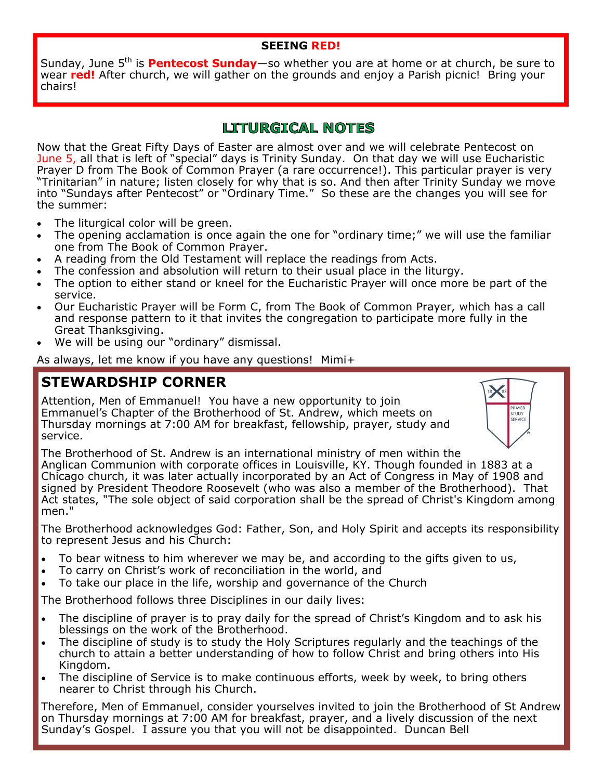#### **SEEING RED!**

Sunday, June 5<sup>th</sup> is **Pentecost Sunday**—so whether you are at home or at church, be sure to wear red! After church, we will gather on the grounds and enjoy a Parish picnic! Bring your chairs!

### **LITURGICAL NOTES**

Now that the Great Fifty Days of Easter are almost over and we will celebrate Pentecost on June 5, all that is left of "special" days is Trinity Sunday. On that day we will use Eucharistic Prayer D from The Book of Common Prayer (a rare occurrence!). This particular prayer is very "Trinitarian" in nature; listen closely for why that is so. And then after Trinity Sunday we move into "Sundays after Pentecost" or "Ordinary Time." So these are the changes you will see for the summer:

- The liturgical color will be green.
- The opening acclamation is once again the one for "ordinary time;" we will use the familiar one from The Book of Common Prayer.
- A reading from the Old Testament will replace the readings from Acts.
- The confession and absolution will return to their usual place in the liturgy.
- The option to either stand or kneel for the Eucharistic Prayer will once more be part of the service.
- Our Eucharistic Prayer will be Form C, from The Book of Common Prayer, which has a call and response pattern to it that invites the congregation to participate more fully in the Great Thanksgiving.
- We will be using our "ordinary" dismissal.

As always, let me know if you have any questions! Mimi+

### **STEWARDSHIP CORNER**

Attention, Men of Emmanuel! You have a new opportunity to join Emmanuel's Chapter of the Brotherhood of St. Andrew, which meets on Thursday mornings at 7:00 AM for breakfast, fellowship, prayer, study and service.



The Brotherhood of St. Andrew is an international ministry of men within the Anglican Communion with corporate offices in Louisville, KY. Though founded in 1883 at a Chicago church, it was later actually incorporated by an Act of Congress in May of 1908 and signed by President Theodore Roosevelt (who was also a member of the Brotherhood). That Act states, "The sole object of said corporation shall be the spread of Christ's Kingdom among men."

The Brotherhood acknowledges God: Father, Son, and Holy Spirit and accepts its responsibility to represent Jesus and his Church:

- To bear witness to him wherever we may be, and according to the gifts given to us,
- To carry on Christ's work of reconciliation in the world, and
- To take our place in the life, worship and governance of the Church

The Brotherhood follows three Disciplines in our daily lives:

- The discipline of prayer is to pray daily for the spread of Christ's Kingdom and to ask his blessings on the work of the Brotherhood.
- The discipline of study is to study the Holy Scriptures regularly and the teachings of the church to attain a better understanding of how to follow Christ and bring others into His Kingdom.
- The discipline of Service is to make continuous efforts, week by week, to bring others nearer to Christ through his Church.

Therefore, Men of Emmanuel, consider yourselves invited to join the Brotherhood of St Andrew on Thursday mornings at 7:00 AM for breakfast, prayer, and a lively discussion of the next Sunday's Gospel. I assure you that you will not be disappointed. Duncan Bell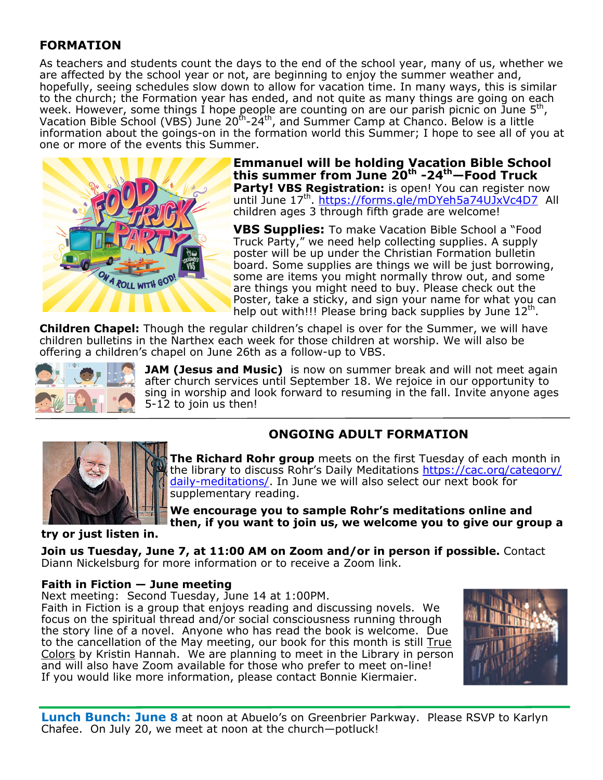### **FORMATION**

As teachers and students count the days to the end of the school year, many of us, whether we are affected by the school year or not, are beginning to enjoy the summer weather and, hopefully, seeing schedules slow down to allow for vacation time. In many ways, this is similar to the church; the Formation year has ended, and not quite as many things are going on each week. However, some things I hope people are counting on are our parish picnic on June 5<sup>th</sup>, Vacation Bible School (VBS) June 20<sup>th</sup>-24<sup>th</sup>, and Summer Camp at Chanco. Below is a little information about the goings-on in the formation world this Summer; I hope to see all of you at one or more of the events this Summer.



**Emmanuel will be holding Vacation Bible School this summer from June 20th -24th—Food Truck Party! VBS Registration:** is open! You can register now until June 17<sup>th</sup>. https://forms.gle/mDYeh5a74UJxVc4D7 All children ages 3 through fifth grade are welcome!

**VBS Supplies:** To make Vacation Bible School a "Food Truck Party," we need help collecting supplies. A supply poster will be up under the Christian Formation bulletin board. Some supplies are things we will be just borrowing, some are items you might normally throw out, and some are things you might need to buy. Please check out the Poster, take a sticky, and sign your name for what you can help out with!!! Please bring back supplies by June  $12<sup>th</sup>$ .

**Children Chapel:** Though the regular children's chapel is over for the Summer, we will have children bulletins in the Narthex each week for those children at worship. We will also be offering a children's chapel on June 26th as a follow-up to VBS.



**JAM (Jesus and Music)** is now on summer break and will not meet again after church services until September 18. We rejoice in our opportunity to sing in worship and look forward to resuming in the fall. Invite anyone ages 5-12 to join us then!

**ONGOING ADULT FORMATION** 

**The Richard Rohr group** meets on the first Tuesday of each month in the library to discuss Rohr's Daily Meditations https://cac.org/category/ daily-meditations/. In June we will also select our next book for supplementary reading.

**We encourage you to sample Rohr's meditations online and then, if you want to join us, we welcome you to give our group a** 

**try or just listen in.** 

**Join us Tuesday, June 7, at 11:00 AM on Zoom and/or in person if possible.** Contact Diann Nickelsburg for more information or to receive a Zoom link.

#### **Faith in Fiction — June meeting**

Next meeting: Second Tuesday, June 14 at 1:00PM.

Faith in Fiction is a group that enjoys reading and discussing novels. We focus on the spiritual thread and/or social consciousness running through the story line of a novel. Anyone who has read the book is welcome. Due to the cancellation of the May meeting, our book for this month is still True Colors by Kristin Hannah. We are planning to meet in the Library in person and will also have Zoom available for those who prefer to meet on-line! If you would like more information, please contact Bonnie Kiermaier.



**Lunch Bunch: June 8** at noon at Abuelo's on Greenbrier Parkway. Please RSVP to Karlyn Chafee. On July 20, we meet at noon at the church—potluck!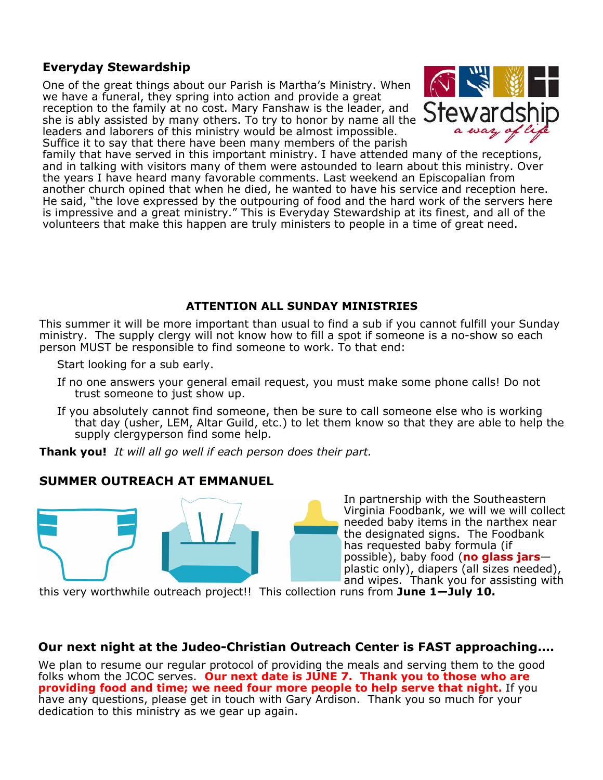#### **Everyday Stewardship**

One of the great things about our Parish is Martha's Ministry. When we have a funeral, they spring into action and provide a great reception to the family at no cost. Mary Fanshaw is the leader, and she is ably assisted by many others. To try to honor by name all the leaders and laborers of this ministry would be almost impossible. Suffice it to say that there have been many members of the parish



family that have served in this important ministry. I have attended many of the receptions, and in talking with visitors many of them were astounded to learn about this ministry. Over the years I have heard many favorable comments. Last weekend an Episcopalian from another church opined that when he died, he wanted to have his service and reception here. He said, "the love expressed by the outpouring of food and the hard work of the servers here is impressive and a great ministry." This is Everyday Stewardship at its finest, and all of the volunteers that make this happen are truly ministers to people in a time of great need.

#### **ATTENTION ALL SUNDAY MINISTRIES**

This summer it will be more important than usual to find a sub if you cannot fulfill your Sunday ministry. The supply clergy will not know how to fill a spot if someone is a no-show so each person MUST be responsible to find someone to work. To that end:

Start looking for a sub early.

- If no one answers your general email request, you must make some phone calls! Do not trust someone to just show up.
- If you absolutely cannot find someone, then be sure to call someone else who is working that day (usher, LEM, Altar Guild, etc.) to let them know so that they are able to help the supply clergyperson find some help.

**Thank you!** *It will all go well if each person does their part.* 

#### **SUMMER OUTREACH AT EMMANUEL**



In partnership with the Southeastern Virginia Foodbank, we will we will collect needed baby items in the narthex near the designated signs. The Foodbank has requested baby formula (if possible), baby food (**no glass jars** plastic only), diapers (all sizes needed), and wipes. Thank you for assisting with

this very worthwhile outreach project!! This collection runs from **June 1—July 10.**

#### **Our next night at the Judeo-Christian Outreach Center is FAST approaching….**

We plan to resume our regular protocol of providing the meals and serving them to the good folks whom the JCOC serves. **Our next date is JUNE 7. Thank you to those who are providing food and time; we need four more people to help serve that night.** If you have any questions, please get in touch with Gary Ardison. Thank you so much for your dedication to this ministry as we gear up again.